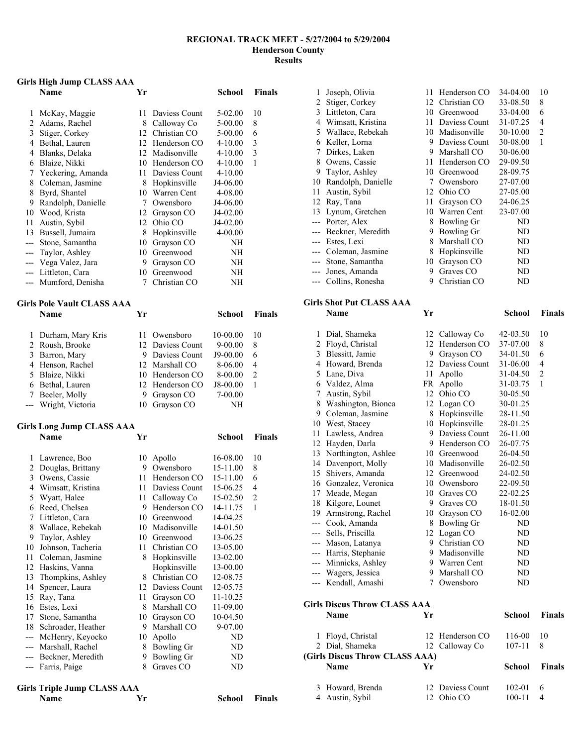#### **REGIONAL TRACK MEET - 5/27/2004 to 5/29/2004 Henderson County Results**

## **Girls High Jump CLASS AAA**

|                | онта тиви опшр стемоо ммм         |                 |                                   |                     |                     |
|----------------|-----------------------------------|-----------------|-----------------------------------|---------------------|---------------------|
|                | Name                              | Yr              |                                   | <b>School</b>       | Finals              |
| 1              | McKay, Maggie                     | 11              | Daviess Count                     | 5-02.00             | 10                  |
| $\overline{c}$ | Adams, Rachel                     |                 | 8 Calloway Co                     | 5-00.00             | 8                   |
| 3              | Stiger, Corkey                    |                 | 12 Christian CO                   | 5-00.00             | 6                   |
| 4              | Bethal, Lauren                    |                 | 12 Henderson CO                   | 4-10.00             | 3                   |
| 4              | Blanks, Delaka                    |                 | 12 Madisonville                   | 4-10.00             | 3                   |
| 6              | Blaize, Nikki                     |                 | 10 Henderson CO                   | 4-10.00             | 1                   |
| 7              | Yeckering, Amanda                 | 11              | Daviess Count                     | 4-10.00             |                     |
| 8              | Coleman, Jasmine                  | 8               | Hopkinsville                      | J4-06.00            |                     |
| 8              | Byrd, Shantel                     |                 | 10 Warren Cent                    | 4-08.00             |                     |
| 9              | Randolph, Danielle                | $7\phantom{.0}$ | Owensboro                         | J4-06.00            |                     |
| 10             | Wood, Krista                      |                 | 12 Grayson CO                     | J4-02.00            |                     |
| 11             | Austin, Sybil                     |                 | 12 Ohio CO                        | J4-02.00            |                     |
| 13             | Bussell, Jumaira                  |                 | 8 Hopkinsville                    | 4-00.00             |                     |
| ---            | Stone, Samantha                   |                 | 10 Grayson CO                     | NΗ                  |                     |
| ---            | Taylor, Ashley                    |                 | 10 Greenwood                      | NΗ                  |                     |
| ---            | Vega Valez, Jara                  |                 | 9 Grayson CO                      | NΗ                  |                     |
| ---            | Littleton, Cara                   |                 | 10 Greenwood                      | NΗ                  |                     |
| ---            | Mumford, Denisha                  | 7               | Christian CO                      | NΗ                  |                     |
|                | <b>Girls Pole Vault CLASS AAA</b> |                 |                                   |                     |                     |
|                | <b>Name</b>                       | Yr              |                                   | School              | <b>Finals</b>       |
|                |                                   |                 |                                   |                     |                     |
| 1              | Durham, Mary Kris                 | 11              | Owensboro<br>12 Daviess Count     | 10-00.00            | 10                  |
| $\overline{c}$ | Roush, Brooke                     | 9               |                                   | 9-00.00             | 8                   |
| 3              | Barron, Mary                      |                 | Daviess Count                     | J9-00.00            | 6                   |
| 4<br>5         | Henson, Rachel                    |                 | 12 Marshall CO<br>10 Henderson CO | 8-06.00             | 4<br>$\overline{c}$ |
| 6              | Blaize, Nikki<br>Bethal, Lauren   | 12              | Henderson CO                      | 8-00.00<br>J8-00.00 | 1                   |
| 7              | Beeler, Molly                     | 9               | Grayson CO                        | 7-00.00             |                     |
| ---            | Wright, Victoria                  | 10              | Grayson CO                        | NΗ                  |                     |
|                |                                   |                 |                                   |                     |                     |
|                | <b>Girls Long Jump CLASS AAA</b>  |                 |                                   |                     |                     |
|                | Name                              | Yr              |                                   | <b>School</b>       | <b>Finals</b>       |
| 1              | Lawrence, Boo                     | 10              | Apollo                            | 16-08.00            | 10                  |
| $\overline{c}$ | Douglas, Brittany                 | 9               | Owensboro                         | 15-11.00            | 8                   |
| 3              | Owens, Cassie                     |                 | 11 Henderson CO                   | 15-11.00            | 6                   |
| 4              | Wimsatt, Kristina                 |                 | 11 Daviess Count                  | 15-06.25            | 4                   |
| 5              | Wyatt, Halee                      | 11              | Calloway Co                       | 15-02.50            | $\overline{c}$      |
| 6              | Reed, Chelsea                     | 9               | Henderson CO                      | 14-11.75            | $\mathbf{1}$        |
| 7              | Littleton, Cara                   | 10              | Greenwood                         | 14-04.25            |                     |

| 7     | Littleton, Cara    | 10 | Greenwood        | 14-04.25 |
|-------|--------------------|----|------------------|----------|
| 8     | Wallace, Rebekah   | 10 | Madisonville     | 14-01.50 |
| 9     | Taylor, Ashley     | 10 | Greenwood        | 13-06.25 |
| 10    | Johnson, Tacheria  | 11 | Christian CO     | 13-05.00 |
| 11    | Coleman, Jasmine   | 8  | Hopkinsville     | 13-02.00 |
| 12    | Haskins, Vanna     |    | Hopkinsville     | 13-00.00 |
| 13    | Thompkins, Ashley  | 8  | Christian CO     | 12-08.75 |
| 14    | Spencer, Laura     |    | 12 Daviess Count | 12-05.75 |
| 15    | Ray, Tana          | 11 | Grayson CO       | 11-10.25 |
| 16    | Estes, Lexi        | 8  | Marshall CO      | 11-09.00 |
| 17    | Stone, Samantha    | 10 | Grayson CO       | 10-04.50 |
| 18    | Schroader, Heather | 9  | Marshall CO      | 9-07.00  |
| ---   | McHenry, Keyocko   | 10 | Apollo           | ND       |
| $---$ | Marshall, Rachel   | 8  | Bowling Gr       | ND       |
| $---$ | Beckner, Meredith  | 9  | Bowling Gr       | ND       |
| $---$ | Farris, Paige      | 8  | Graves CO        | ND       |
|       |                    |    |                  |          |

**School Finals** 

| <b>Girls Triple Jump CLASS AAA</b> |    |
|------------------------------------|----|
| <b>Name</b>                        | Vr |

| 1              | Joseph, Olivia                      | 11      | Henderson CO           | 34-04.00             | 10             |
|----------------|-------------------------------------|---------|------------------------|----------------------|----------------|
| $\overline{c}$ | Stiger, Corkey                      |         | 12 Christian CO        | 33-08.50             | 8              |
| 3              | Littleton, Cara                     |         | 10 Greenwood           | 33-04.00             | 6              |
| 4              | Wimsatt, Kristina                   |         | 11 Daviess Count       | 31-07.25             | 4              |
| 5              | Wallace, Rebekah                    |         | 10 Madisonville        | 30-10.00             | $\overline{c}$ |
| 6              | Keller, Lorna                       |         | 9 Daviess Count        | 30-08.00             | 1              |
| 7              | Dirkes, Laken                       |         | 9 Marshall CO          | 30-06.00             |                |
| 8              | Owens, Cassie                       |         | 11 Henderson CO        | 29-09.50             |                |
| 9              | Taylor, Ashley                      |         | 10 Greenwood           | 28-09.75             |                |
| 10             | Randolph, Danielle                  | 7       | Owensboro              | 27-07.00             |                |
| 11             | Austin, Sybil                       |         | 12 Ohio CO             | 27-05.00             |                |
| 12             | Ray, Tana                           |         | 11 Grayson CO          | 24-06.25             |                |
| 13             | Lynum, Gretchen                     |         | 10 Warren Cent         | 23-07.00             |                |
| ---            | Porter, Alex                        | 8       | <b>Bowling Gr</b>      | ND                   |                |
| ---            | Beckner, Meredith                   | 9       | <b>Bowling Gr</b>      | ND                   |                |
| ---            | Estes, Lexi                         | 8       | Marshall CO            | ND                   |                |
| ---            | Coleman, Jasmine                    | 8       | Hopkinsville           | ND                   |                |
| ---            | Stone, Samantha                     | 10      | Grayson CO             | ND                   |                |
| ---            | Jones, Amanda                       | 9       | Graves CO              | ND                   |                |
| ---            | Collins, Ronesha                    | 9.      | Christian CO           | ND                   |                |
|                | <b>Girls Shot Put CLASS AAA</b>     |         |                        |                      |                |
|                | <b>Name</b>                         | Yr      |                        | School               | <b>Finals</b>  |
|                |                                     |         |                        |                      |                |
| 1              | Dial, Shameka                       |         | 12 Calloway Co         | 42-03.50             | 10             |
| $\overline{2}$ | Floyd, Christal                     |         | 12 Henderson CO        | 37-07.00             | 8              |
| 3              | Blessitt, Jamie                     | 9       | Grayson CO             | 34-01.50             | 6              |
| 4              | Howard, Brenda                      | 12      | Daviess Count          | 31-06.00             | 4              |
| 5              | Lane, Diva                          | 11      | Apollo                 | 31-04.50             | $\overline{c}$ |
| 6              | Valdez, Alma                        | FR      | Apollo                 | 31-03.75             | 1              |
| 7              | Austin, Sybil                       | 12      | Ohio CO                | 30-05.50             |                |
| 8              | Washington, Bionca                  | 12      | Logan CO               | 30-01.25             |                |
| 9              | Coleman, Jasmine                    | 8       | Hopkinsville           | 28-11.50             |                |
| 10             | West, Stacey                        |         | 10 Hopkinsville        | 28-01.25             |                |
| 11             | Lawless, Andrea                     | 9       | Daviess Count          | 26-11.00             |                |
| 12             | Hayden, Darla                       | 9       | Henderson CO           | 26-07.75             |                |
| 13             | Northington, Ashlee                 |         | 10 Greenwood           | 26-04.50             |                |
| 14             | Davenport, Molly                    |         | 10 Madisonville        | 26-02.50             |                |
| 15             | Shivers, Amanda                     |         | 12 Greenwood           | 24-02.50             |                |
| 16             | Gonzalez, Veronica                  | 10      | Owensboro<br>Graves CO | 22-09.50<br>22-02.25 |                |
| 17<br>18       | Meade, Megan<br>Kilgore, Lounet     | 10<br>9 | Graves CO              | 18-01.50             |                |
| 19             | Armstrong, Rachel                   | 10      | Grayson CO             | 16-02.00             |                |
| ---            | Cook, Amanda                        | 8       | <b>Bowling Gr</b>      | ND                   |                |
| ---            | Sells, Priscilla                    | 12      | Logan CO               | ND                   |                |
| ---            | Mason, Latanya                      | 9.      | Christian CO           | ND                   |                |
| ---            | Harris, Stephanie                   |         | 9 Madisonville         | ND                   |                |
| ---            | Minnicks, Ashley                    | 9.      | Warren Cent            | ND                   |                |
| ---            | Wagers, Jessica                     | 9       | Marshall CO            | ND                   |                |
| ---            | Kendall, Amashi                     | 7       | Owensboro              | ND                   |                |
|                |                                     |         |                        |                      |                |
|                | <b>Girls Discus Throw CLASS AAA</b> |         |                        |                      |                |

| Name             | Yг | School                                                                                                | <b>Finals</b> |
|------------------|----|-------------------------------------------------------------------------------------------------------|---------------|
| Floyd, Christal  |    | 116-00                                                                                                | 10            |
| 2 Dial, Shameka  |    | $107 - 11$                                                                                            | 8             |
|                  |    |                                                                                                       |               |
| Name             | Уr | School                                                                                                | <b>Finals</b> |
| 3 Howard, Brenda |    | 102-01                                                                                                | 6             |
| 4 Austin, Sybil  |    | 100-11                                                                                                | 4             |
|                  |    | 12 Henderson CO<br>12 Calloway Co<br>(Girls Discus Throw CLASS AAA)<br>12 Daviess Count<br>12 Ohio CO |               |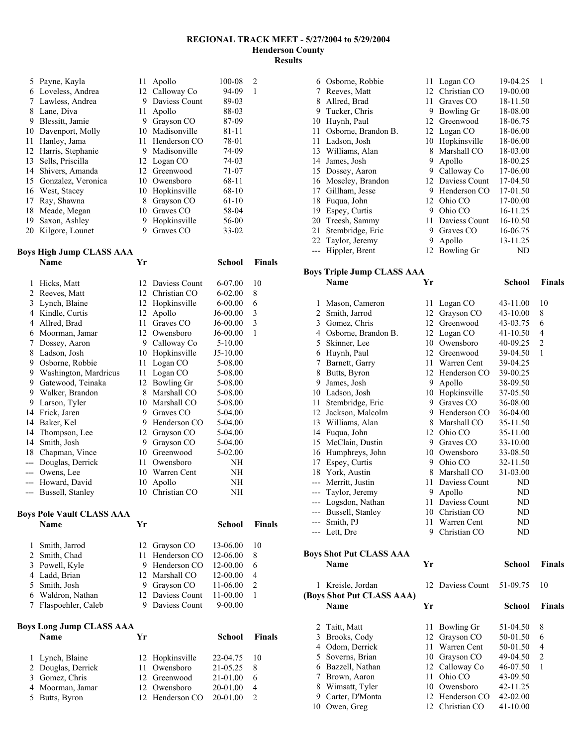#### **REGIONAL TRACK MEET - 5/27/2004 to 5/29/2004 Henderson County Results**

|    | 5 Payne, Kayla        | 11 | Apollo          | 100-08    | 2 |
|----|-----------------------|----|-----------------|-----------|---|
| 6  | Loveless, Andrea      |    | 12 Calloway Co  | $94-09$   | 1 |
| 7  | Lawless, Andrea       | 9  | Daviess Count   | 89-03     |   |
| 8  | Lane, Diva            | 11 | Apollo          | 88-03     |   |
| 9  | Blessitt, Jamie       | 9  | Grayson CO      | 87-09     |   |
|    | 10 Davenport, Molly   | 10 | Madisonville    | 81-11     |   |
| 11 | Hanley, Jama          | 11 | Henderson CO    | 78-01     |   |
|    | 12 Harris, Stephanie  | 9  | Madisonville    | 74-09     |   |
| 13 | Sells, Priscilla      |    | 12 Logan CO     | 74-03     |   |
|    | 14 Shivers, Amanda    |    | 12 Greenwood    | 71-07     |   |
|    | 15 Gonzalez, Veronica |    | 10 Owensboro    | 68-11     |   |
|    | 16 West, Stacey       |    | 10 Hopkinsville | 68-10     |   |
| 17 | Ray, Shawna           | 8  | Grayson CO      | $61-10$   |   |
| 18 | Meade, Megan          | 10 | Graves CO       | 58-04     |   |
| 19 | Saxon, Ashley         | 9  | Hopkinsville    | 56-00     |   |
|    | 20 Kilgore, Lounet    | 9  | Graves CO       | $33 - 02$ |   |

#### **Boys High Jump CLASS AAA**

|       | Name                             | Yr |                  | School        | <b>Finals</b> |  |
|-------|----------------------------------|----|------------------|---------------|---------------|--|
| 1     | Hicks, Matt                      |    | 12 Daviess Count | 6-07.00       | 10            |  |
| 2     | Reeves, Matt                     | 12 | Christian CO     | $6 - 02.00$   | 8             |  |
| 3     | Lynch, Blaine                    | 12 | Hopkinsville     | $6 - 00.00$   | 6             |  |
| 4     | Kindle, Curtis                   | 12 | Apollo           | J6-00.00      | 3             |  |
| 4     | Allred, Brad                     | 11 | Graves CO        | J6-00.00      | 3             |  |
| 6     | Moorman, Jamar                   |    | 12 Owensboro     | J6-00.00      | $\mathbf{1}$  |  |
| 7     | Dossey, Aaron                    | 9  | Calloway Co      | 5-10.00       |               |  |
| 8     | Ladson, Josh                     | 10 | Hopkinsville     | J5-10.00      |               |  |
| 9     | Osborne, Robbie                  | 11 | Logan CO         | 5-08.00       |               |  |
| 9     | Washington, Mardricus            | 11 | Logan CO         | 5-08.00       |               |  |
| 9     | Gatewood, Teinaka                | 12 | Bowling Gr       | 5-08.00       |               |  |
|       | 9 Walker, Brandon                | 8  | Marshall CO      | 5-08.00       |               |  |
| 9     | Larson, Tyler                    | 10 | Marshall CO      | 5-08.00       |               |  |
| 14    | Frick, Jaren                     | 9  | Graves CO        | 5-04.00       |               |  |
| 14    | Baker, Kel                       | 9  | Henderson CO     | 5-04.00       |               |  |
| 14    | Thompson, Lee                    | 12 | Grayson CO       | 5-04.00       |               |  |
| 14    | Smith, Josh                      | 9  | Grayson CO       | 5-04.00       |               |  |
| 18    | Chapman, Vince                   | 10 | Greenwood        | 5-02.00       |               |  |
| ---   | Douglas, Derrick                 | 11 | Owensboro        | NΗ            |               |  |
| ---   | Owens, Lee                       | 10 | Warren Cent      | NH            |               |  |
|       | Howard, David                    | 10 | Apollo           | NΗ            |               |  |
| $---$ | Bussell, Stanley                 | 10 | Christian CO     | NH            |               |  |
|       | <b>Boys Pole Vault CLASS AAA</b> |    |                  |               |               |  |
|       | Name                             | V» |                  | <b>Cohool</b> | Finale        |  |

| oys Pole Vault CLASS AAA |    |               |                                                                                                          |               |
|--------------------------|----|---------------|----------------------------------------------------------------------------------------------------------|---------------|
| Name                     | Yr |               | School                                                                                                   | <b>Finals</b> |
| 1 Smith, Jarrod          |    |               | 13-06.00                                                                                                 | 10            |
| 2 Smith, Chad            |    |               | 12-06.00                                                                                                 | 8             |
| 3 Powell, Kyle           |    |               | 12-00.00                                                                                                 | 6             |
| 4 Ladd, Brian            |    |               | 12-00.00                                                                                                 | 4             |
| 5 Smith, Josh            |    |               | 11-06.00                                                                                                 | 2             |
| 6 Waldron, Nathan        |    |               | 11-00.00                                                                                                 |               |
| 7 Flaspoehler, Caleb     | 9  | Daviess Count | $9 - 00.00$                                                                                              |               |
|                          |    |               | 12 Grayson CO<br>11 Henderson CO<br>9 Henderson CO<br>12 Marshall CO<br>9 Grayson CO<br>12 Daviess Count |               |

| <b>Boys Long Jump CLASS AAA</b> |                    |    |                 |               |                |  |  |
|---------------------------------|--------------------|----|-----------------|---------------|----------------|--|--|
|                                 | <b>Name</b>        | Vr |                 | <b>School</b> | <b>Finals</b>  |  |  |
|                                 | 1 Lynch, Blaine    |    | 12 Hopkinsville | 22-04.75      | - 10           |  |  |
|                                 | 2 Douglas, Derrick |    | 11 Owensboro    | 21-05.25      | 8              |  |  |
|                                 | 3 Gomez, Chris     |    | 12 Greenwood    | $21-01.00$    | 6              |  |  |
|                                 | 4 Moorman, Jamar   |    | 12 Owensboro    | 20-01.00      | $\overline{4}$ |  |  |
|                                 | 5 Butts, Byron     |    | 12 Henderson CO | $20 - 01.00$  | $\mathcal{D}$  |  |  |

| 6     | Osborne, Robbie     |    | 11 Logan CO      | 19-04.25 | 1 |
|-------|---------------------|----|------------------|----------|---|
|       | Reeves, Matt        |    | 12 Christian CO  | 19-00.00 |   |
| 8     | Allred, Brad        | 11 | Graves CO        | 18-11.50 |   |
| 9     | Tucker, Chris       | 9  | Bowling Gr       | 18-08.00 |   |
| 10    | Huynh, Paul         |    | 12 Greenwood     | 18-06.75 |   |
| 11    | Osborne, Brandon B. |    | 12 Logan CO      | 18-06.00 |   |
| 11    | Ladson, Josh        | 10 | Hopkinsville     | 18-06.00 |   |
| 13    | Williams, Alan      | 8  | Marshall CO      | 18-03.00 |   |
| 14    | James, Josh         | 9  | Apollo           | 18-00.25 |   |
|       | 15 Dossey, Aaron    | 9  | Calloway Co      | 17-06.00 |   |
|       | 16 Moseley, Brandon |    | 12 Daviess Count | 17-04.50 |   |
| 17    | Gillham, Jesse      | 9  | Henderson CO     | 17-01.50 |   |
| 18    | Fuqua, John         |    | 12 Ohio CO       | 17-00.00 |   |
| 19    | Espey, Curtis       | 9  | Ohio CO          | 16-11.25 |   |
| 20    | Treesh, Sammy       | 11 | Daviess Count    | 16-10.50 |   |
| 21    | Stembridge, Eric    | 9  | Graves CO        | 16-06.75 |   |
| 22    | Taylor, Jeremy      | 9  | Apollo           | 13-11.25 |   |
| $---$ | Hippler, Brent      |    | 12 Bowling Gr    | ND       |   |

#### **Boys Triple Jump CLASS AAA**

|       | Name                | Yr |               | School       | <b>Finals</b>  |
|-------|---------------------|----|---------------|--------------|----------------|
| 1     | Mason, Cameron      | 11 | Logan CO      | 43-11.00     | 10             |
| 2     | Smith, Jarrod       | 12 | Grayson CO    | 43-10.00     | 8              |
| 3     | Gomez, Chris        | 12 | Greenwood     | 43-03.75     | 6              |
| 4     | Osborne, Brandon B. | 12 | Logan CO      | $41 - 10.50$ | $\overline{4}$ |
| 5     | Skinner, Lee        | 10 | Owensboro     | 40-09.25     | $\overline{2}$ |
| 6     | Huynh, Paul         | 12 | Greenwood     | 39-04.50     | $\mathbf{1}$   |
| 7     | Barnett, Garry      | 11 | Warren Cent   | 39-04.25     |                |
| 8     | Butts, Byron        | 12 | Henderson CO  | 39-00.25     |                |
| 9     | James, Josh         | 9  | Apollo        | 38-09.50     |                |
| 10    | Ladson, Josh        | 10 | Hopkinsville  | 37-05.50     |                |
| 11    | Stembridge, Eric    | 9  | Graves CO     | 36-08.00     |                |
| 12    | Jackson, Malcolm    | 9  | Henderson CO  | 36-04.00     |                |
| 13    | Williams, Alan      | 8  | Marshall CO   | 35-11.50     |                |
| 14    | Fuqua, John         | 12 | Ohio CO       | 35-11.00     |                |
| 15    | McClain, Dustin     | 9  | Graves CO     | 33-10.00     |                |
| 16    | Humphreys, John     | 10 | Owensboro     | 33-08.50     |                |
| 17    | Espey, Curtis       | 9  | Ohio CO       | 32-11.50     |                |
| 18    | York, Austin        | 8  | Marshall CO   | 31-03.00     |                |
| $---$ | Merritt, Justin     | 11 | Daviess Count | ND           |                |
| ---   | Taylor, Jeremy      | 9  | Apollo        | ND           |                |
| $---$ | Logsdon, Nathan     | 11 | Daviess Count | ND           |                |
| $---$ | Bussell, Stanley    | 10 | Christian CO  | ND           |                |
| $---$ | Smith, PJ           | 11 | Warren Cent   | ND           |                |
| ---   | Lett, Dre           | 9  | Christian CO  | ND           |                |
|       |                     |    |               |              |                |

# **Boys Shot Put CLASS AAA**

|    | <b>Name</b>               | Yr |                  | School       | <b>Finals</b> |
|----|---------------------------|----|------------------|--------------|---------------|
| 1. | Kreisle, Jordan           |    | 12 Daviess Count | 51-09.75     | 10            |
|    | (Boys Shot Put CLASS AAA) |    |                  |              |               |
|    | Name                      | Yr |                  | School       | <b>Finals</b> |
|    | 2 Taitt, Matt             | 11 | Bowling Gr       | 51-04.50     | 8             |
| 3  | Brooks, Cody              |    | 12 Grayson CO    | 50-01.50     | 6             |
| 4  | Odom, Derrick             | 11 | Warren Cent      | 50-01.50     | 4             |
| 5. | Soverns, Brian            | 10 | Grayson CO       | 49-04.50     | 2             |
| 6  | Bazzell, Nathan           |    | 12 Calloway Co   | 46-07.50     | 1             |
|    | Brown, Aaron              | 11 | Ohio CO          | 43-09.50     |               |
| 8  | Wimsatt, Tyler            | 10 | Owensboro        | 42-11.25     |               |
| 9  | Carter, D'Monta           |    | 12 Henderson CO  | 42-02.00     |               |
| 10 | Owen, Greg                | 12 | Christian CO     | $41 - 10.00$ |               |